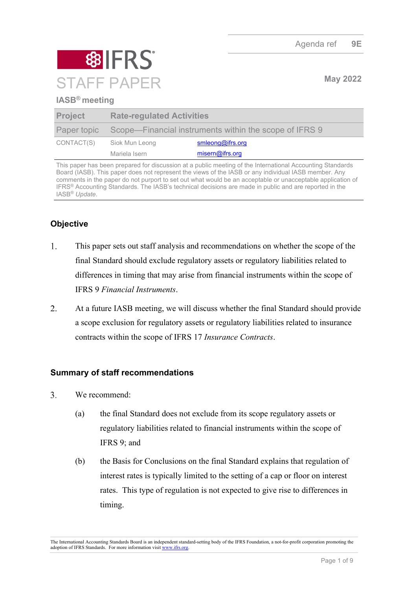

## **IASB® meeting**

| <b>Project</b> | <b>Rate-regulated Activities</b>                                   |                  |
|----------------|--------------------------------------------------------------------|------------------|
|                | Paper topic Scope—Financial instruments within the scope of IFRS 9 |                  |
| CONTACT(S)     | Siok Mun Leong                                                     | smleong@ifrs.org |
|                | Mariela Isern                                                      | misern@ifrs.org  |

This paper has been prepared for discussion at a public meeting of the International Accounting Standards Board (IASB). This paper does not represent the views of the IASB or any individual IASB member. Any comments in the paper do not purport to set out what would be an acceptable or unacceptable application of IFRS® Accounting Standards. The IASB's technical decisions are made in public and are reported in the IASB® *Update*.

# **Objective**

- 1. This paper sets out staff analysis and recommendations on whether the scope of the final Standard should exclude regulatory assets or regulatory liabilities related to differences in timing that may arise from financial instruments within the scope of IFRS 9 *Financial Instruments*.
- At a future IASB meeting, we will discuss whether the final Standard should provide  $2.$ a scope exclusion for regulatory assets or regulatory liabilities related to insurance contracts within the scope of IFRS 17 *Insurance Contracts*.

## **Summary of staff recommendations**

- $\overline{3}$ . We recommend:
	- (a) the final Standard does not exclude from its scope regulatory assets or regulatory liabilities related to financial instruments within the scope of IFRS 9; and
	- (b) the Basis for Conclusions on the final Standard explains that regulation of interest rates is typically limited to the setting of a cap or floor on interest rates. This type of regulation is not expected to give rise to differences in timing.

The International Accounting Standards Board is an independent standard-setting body of the IFRS Foundation, a not-for-profit corporation promoting the adoption of IFRS Standards. For more information visit [www.ifrs.org.](http://www.ifrs.org/)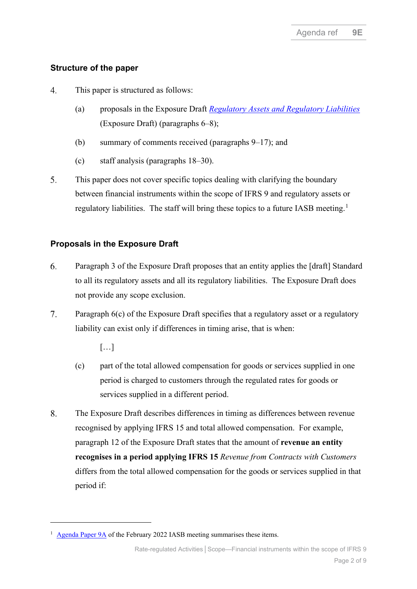# **Structure of the paper**

- $\overline{4}$ . This paper is structured as follows:
	- (a) proposals in the Exposure Draft *[Regulatory Assets and Regulatory Liabilities](https://www.ifrs.org/content/dam/ifrs/project/rate-regulated-activities/published-documents/ed2021-rra.pdf)* (Exposure Draft) (paragraphs [6](#page-1-0)[–8\)](#page-1-1);
	- (b) summary of comments received (paragraphs [9](#page-2-0)[–17\)](#page-3-0); and
	- (c) staff analysis (paragraphs [18](#page-4-0)[–30\)](#page-7-0).
- 5. This paper does not cover specific topics dealing with clarifying the boundary between financial instruments within the scope of IFRS 9 and regulatory assets or regulatory liabilities. The staff will bring these topics to a future IASB meeting.<sup>[1](#page-1-2)</sup>

## **Proposals in the Exposure Draft**

- <span id="page-1-0"></span>6. Paragraph 3 of the Exposure Draft proposes that an entity applies the [draft] Standard to all its regulatory assets and all its regulatory liabilities. The Exposure Draft does not provide any scope exclusion.
- <span id="page-1-3"></span> $7.$ Paragraph 6(c) of the Exposure Draft specifies that a regulatory asset or a regulatory liability can exist only if differences in timing arise, that is when:

[…]

- (c) part of the total allowed compensation for goods or services supplied in one period is charged to customers through the regulated rates for goods or services supplied in a different period.
- <span id="page-1-1"></span>8. The Exposure Draft describes differences in timing as differences between revenue recognised by applying IFRS 15 and total allowed compensation. For example, paragraph 12 of the Exposure Draft states that the amount of **revenue an entity recognises in a period applying IFRS 15** *Revenue from Contracts with Customers* differs from the total allowed compensation for the goods or services supplied in that period if:

<span id="page-1-2"></span><sup>&</sup>lt;sup>1</sup> [Agenda Paper 9A](https://www.ifrs.org/content/dam/ifrs/meetings/2022/february/iasb/ap9a-rra-scope-overview.pdf) of the February 2022 IASB meeting summarises these items.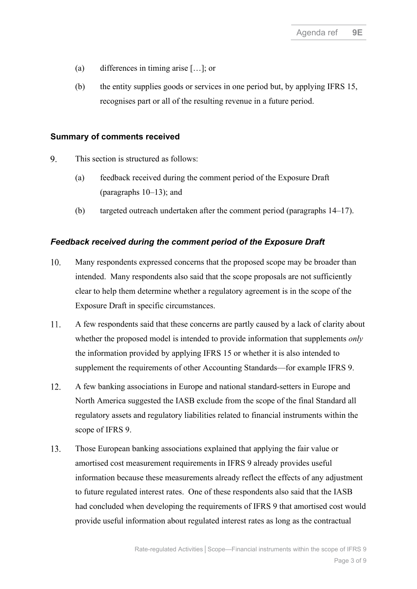- (a) differences in timing arise […]; or
- (b) the entity supplies goods or services in one period but, by applying IFRS 15, recognises part or all of the resulting revenue in a future period.

### **Summary of comments received**

- <span id="page-2-0"></span>9. This section is structured as follows:
	- (a) feedback received during the comment period of the Exposure Draft (paragraphs [10–](#page-2-1)[13\)](#page-2-2); and
	- (b) targeted outreach undertaken after the comment period (paragraphs [14](#page-3-1)[–17\)](#page-3-0).

## *Feedback received during the comment period of the Exposure Draft*

- <span id="page-2-1"></span>10. Many respondents expressed concerns that the proposed scope may be broader than intended. Many respondents also said that the scope proposals are not sufficiently clear to help them determine whether a regulatory agreement is in the scope of the Exposure Draft in specific circumstances.
- <span id="page-2-4"></span>11. A few respondents said that these concerns are partly caused by a lack of clarity about whether the proposed model is intended to provide information that supplements *only* the information provided by applying IFRS 15 or whether it is also intended to supplement the requirements of other Accounting Standards—for example IFRS 9.
- <span id="page-2-3"></span> $12.$ A few banking associations in Europe and national standard-setters in Europe and North America suggested the IASB exclude from the scope of the final Standard all regulatory assets and regulatory liabilities related to financial instruments within the scope of IFRS 9.
- <span id="page-2-2"></span>13. Those European banking associations explained that applying the fair value or amortised cost measurement requirements in IFRS 9 already provides useful information because these measurements already reflect the effects of any adjustment to future regulated interest rates. One of these respondents also said that the IASB had concluded when developing the requirements of IFRS 9 that amortised cost would provide useful information about regulated interest rates as long as the contractual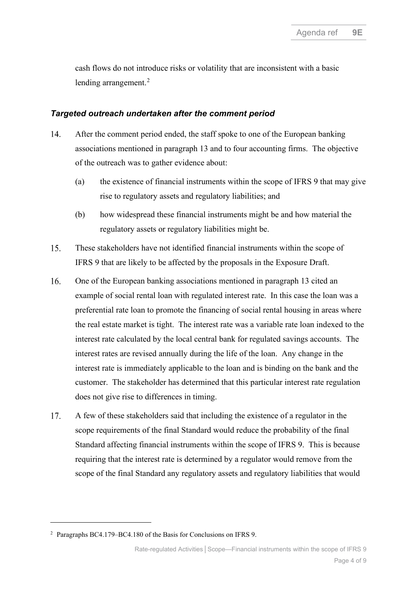cash flows do not introduce risks or volatility that are inconsistent with a basic lending arrangement.<sup>[2](#page-3-2)</sup>

#### *Targeted outreach undertaken after the comment period*

- <span id="page-3-1"></span>14. After the comment period ended, the staff spoke to one of the European banking associations mentioned in paragraph [13](#page-2-2) and to four accounting firms. The objective of the outreach was to gather evidence about:
	- (a) the existence of financial instruments within the scope of IFRS 9 that may give rise to regulatory assets and regulatory liabilities; and
	- (b) how widespread these financial instruments might be and how material the regulatory assets or regulatory liabilities might be.
- <span id="page-3-3"></span>15. These stakeholders have not identified financial instruments within the scope of IFRS 9 that are likely to be affected by the proposals in the Exposure Draft.
- $16.$ One of the European banking associations mentioned in paragraph [13](#page-2-2) cited an example of social rental loan with regulated interest rate. In this case the loan was a preferential rate loan to promote the financing of social rental housing in areas where the real estate market is tight. The interest rate was a variable rate loan indexed to the interest rate calculated by the local central bank for regulated savings accounts. The interest rates are revised annually during the life of the loan. Any change in the interest rate is immediately applicable to the loan and is binding on the bank and the customer. The stakeholder has determined that this particular interest rate regulation does not give rise to differences in timing.
- <span id="page-3-0"></span>17. A few of these stakeholders said that including the existence of a regulator in the scope requirements of the final Standard would reduce the probability of the final Standard affecting financial instruments within the scope of IFRS 9. This is because requiring that the interest rate is determined by a regulator would remove from the scope of the final Standard any regulatory assets and regulatory liabilities that would

<span id="page-3-2"></span><sup>2</sup> Paragraphs BC4.179–BC4.180 of the Basis for Conclusions on IFRS 9.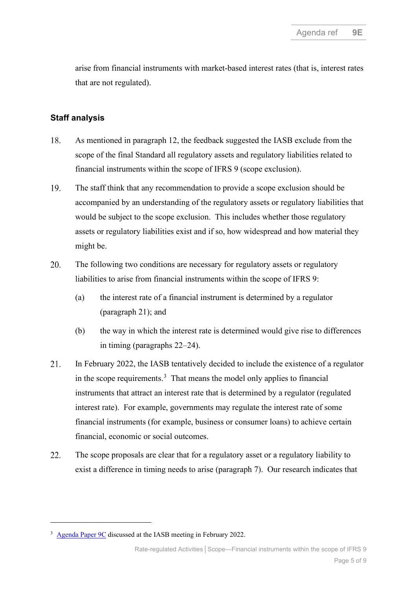arise from financial instruments with market-based interest rates (that is, interest rates that are not regulated).

### **Staff analysis**

- <span id="page-4-0"></span>18. As mentioned in paragraph [12,](#page-2-3) the feedback suggested the IASB exclude from the scope of the final Standard all regulatory assets and regulatory liabilities related to financial instruments within the scope of IFRS 9 (scope exclusion).
- <span id="page-4-4"></span>19. The staff think that any recommendation to provide a scope exclusion should be accompanied by an understanding of the regulatory assets or regulatory liabilities that would be subject to the scope exclusion. This includes whether those regulatory assets or regulatory liabilities exist and if so, how widespread and how material they might be.
- 20. The following two conditions are necessary for regulatory assets or regulatory liabilities to arise from financial instruments within the scope of IFRS 9:
	- (a) the interest rate of a financial instrument is determined by a regulator (paragraph [21\)](#page-4-1); and
	- (b) the way in which the interest rate is determined would give rise to differences in timing (paragraphs [22](#page-4-2)[–24\)](#page-5-0).
- <span id="page-4-1"></span>21. In February 2022, the IASB tentatively decided to include the existence of a regulator in the scope requirements. $3$  That means the model only applies to financial instruments that attract an interest rate that is determined by a regulator (regulated interest rate). For example, governments may regulate the interest rate of some financial instruments (for example, business or consumer loans) to achieve certain financial, economic or social outcomes.
- <span id="page-4-2"></span>22. The scope proposals are clear that for a regulatory asset or a regulatory liability to exist a difference in timing needs to arise (paragraph [7\)](#page-1-3). Our research indicates that

<span id="page-4-3"></span><sup>3</sup> [Agenda Paper 9C](https://www.ifrs.org/content/dam/ifrs/meetings/2022/february/iasb/ap9c-rra-scope-definition-of-a-regulator.pdf) discussed at the IASB meeting in February 2022.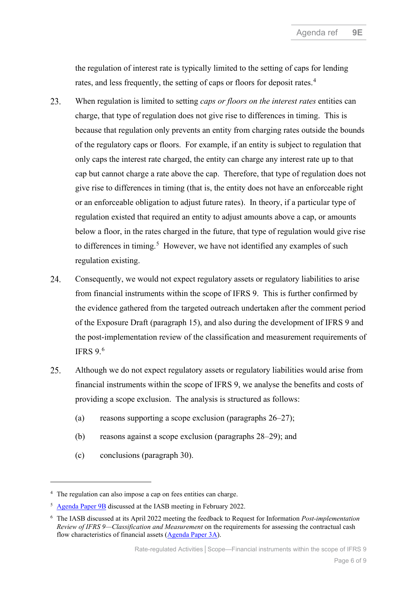the regulation of interest rate is typically limited to the setting of caps for lending rates, and less frequently, the setting of caps or floors for deposit rates.<sup>[4](#page-5-1)</sup>

- 23. When regulation is limited to setting *caps or floors on the interest rates* entities can charge, that type of regulation does not give rise to differences in timing. This is because that regulation only prevents an entity from charging rates outside the bounds of the regulatory caps or floors. For example, if an entity is subject to regulation that only caps the interest rate charged, the entity can charge any interest rate up to that cap but cannot charge a rate above the cap. Therefore, that type of regulation does not give rise to differences in timing (that is, the entity does not have an enforceable right or an enforceable obligation to adjust future rates). In theory, if a particular type of regulation existed that required an entity to adjust amounts above a cap, or amounts below a floor, in the rates charged in the future, that type of regulation would give rise to differences in timing.<sup>[5](#page-5-2)</sup> However, we have not identified any examples of such regulation existing.
- <span id="page-5-0"></span>24. Consequently, we would not expect regulatory assets or regulatory liabilities to arise from financial instruments within the scope of IFRS 9. This is further confirmed by the evidence gathered from the targeted outreach undertaken after the comment period of the Exposure Draft (paragraph [15\)](#page-3-3), and also during the development of IFRS 9 and the post-implementation review of the classification and measurement requirements of IFRS  $9.6$  $9.6$
- 25. Although we do not expect regulatory assets or regulatory liabilities would arise from financial instruments within the scope of IFRS 9, we analyse the benefits and costs of providing a scope exclusion. The analysis is structured as follows:
	- (a) reasons supporting a scope exclusion (paragraphs  $26-27$ );
	- (b) reasons against a scope exclusion (paragraphs [28](#page-7-1)[–29\)](#page-7-2); and
	- (c) conclusions (paragraph [30\)](#page-7-0).

<span id="page-5-1"></span><sup>&</sup>lt;sup>4</sup> The regulation can also impose a cap on fees entities can charge.

<span id="page-5-2"></span><sup>5</sup> [Agenda Paper 9B](https://www.ifrs.org/content/dam/ifrs/meetings/2022/february/iasb/ap9b-rra-scope-determining-whether-regulatory-agreement-is-within-scope.pdf) discussed at the IASB meeting in February 2022.

<span id="page-5-3"></span><sup>6</sup> The IASB discussed at its April 2022 meeting the feedback to Request for Information *Post-implementation Review of IFRS 9—Classification and Measurement* on the requirements for assessing the contractual cash flow characteristics of financial assets [\(Agenda Paper 3A\)](https://www.ifrs.org/content/dam/ifrs/meetings/2022/april/iasb/ap3a-ccfc.pdf).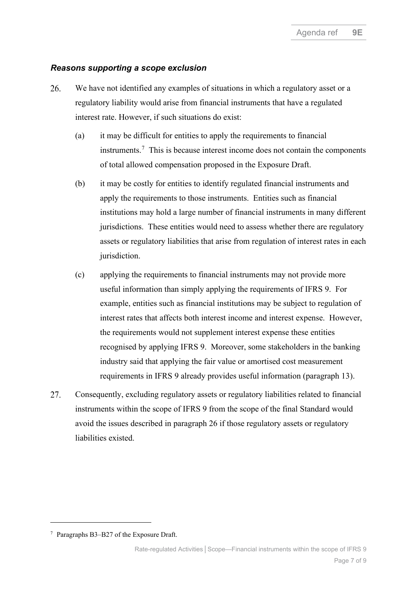#### *Reasons supporting a scope exclusion*

- <span id="page-6-0"></span>26. We have not identified any examples of situations in which a regulatory asset or a regulatory liability would arise from financial instruments that have a regulated interest rate. However, if such situations do exist:
	- (a) it may be difficult for entities to apply the requirements to financial instruments. [7](#page-6-1) This is because interest income does not contain the components of total allowed compensation proposed in the Exposure Draft.
	- (b) it may be costly for entities to identify regulated financial instruments and apply the requirements to those instruments. Entities such as financial institutions may hold a large number of financial instruments in many different jurisdictions. These entities would need to assess whether there are regulatory assets or regulatory liabilities that arise from regulation of interest rates in each jurisdiction.
	- (c) applying the requirements to financial instruments may not provide more useful information than simply applying the requirements of IFRS 9. For example, entities such as financial institutions may be subject to regulation of interest rates that affects both interest income and interest expense. However, the requirements would not supplement interest expense these entities recognised by applying IFRS 9. Moreover, some stakeholders in the banking industry said that applying the fair value or amortised cost measurement requirements in IFRS 9 already provides useful information (paragraph [13\)](#page-2-2).
- 27. Consequently, excluding regulatory assets or regulatory liabilities related to financial instruments within the scope of IFRS 9 from the scope of the final Standard would avoid the issues described in paragraph [26](#page-6-0) if those regulatory assets or regulatory liabilities existed.

<span id="page-6-1"></span><sup>7</sup> Paragraphs B3–B27 of the Exposure Draft.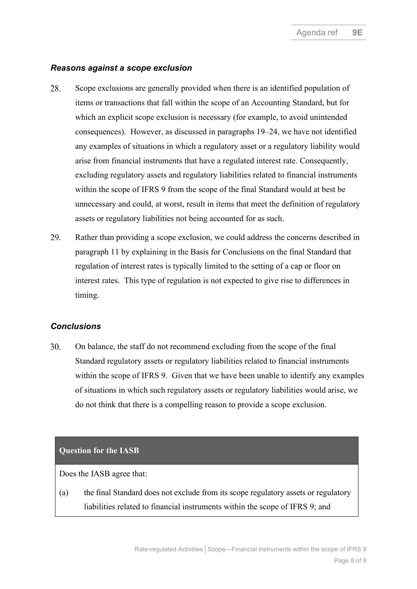### *Reasons against a scope exclusion*

- <span id="page-7-1"></span>28. Scope exclusions are generally provided when there is an identified population of items or transactions that fall within the scope of an Accounting Standard, but for which an explicit scope exclusion is necessary (for example, to avoid unintended consequences). However, as discussed in paragraphs [19–](#page-4-4)[24,](#page-5-0) we have not identified any examples of situations in which a regulatory asset or a regulatory liability would arise from financial instruments that have a regulated interest rate. Consequently, excluding regulatory assets and regulatory liabilities related to financial instruments within the scope of IFRS 9 from the scope of the final Standard would at best be unnecessary and could, at worst, result in items that meet the definition of regulatory assets or regulatory liabilities not being accounted for as such.
- <span id="page-7-2"></span>29. Rather than providing a scope exclusion, we could address the concerns described in paragraph [11](#page-2-4) by explaining in the Basis for Conclusions on the final Standard that regulation of interest rates is typically limited to the setting of a cap or floor on interest rates. This type of regulation is not expected to give rise to differences in timing.

### *Conclusions*

<span id="page-7-0"></span>30. On balance, the staff do not recommend excluding from the scope of the final Standard regulatory assets or regulatory liabilities related to financial instruments within the scope of IFRS 9. Given that we have been unable to identify any examples of situations in which such regulatory assets or regulatory liabilities would arise, we do not think that there is a compelling reason to provide a scope exclusion.

### **Question for the IASB**

Does the IASB agree that:

(a) the final Standard does not exclude from its scope regulatory assets or regulatory liabilities related to financial instruments within the scope of IFRS 9; and